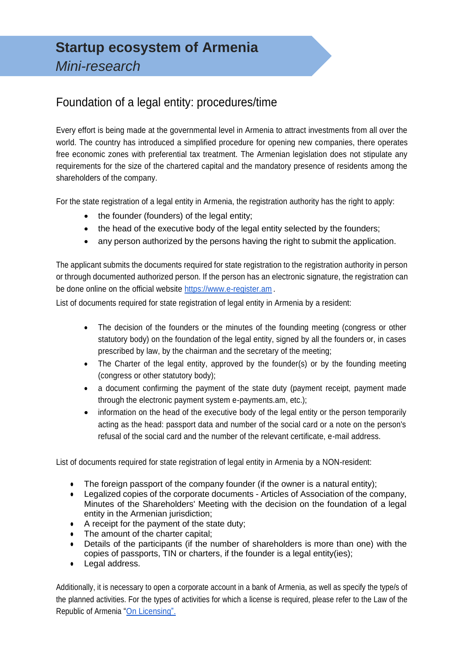## Foundation of a legal entity: procedures/time

Every effort is being made at the governmental level in Armenia to attract investments from all over the world. The country has introduced a simplified procedure for opening new companies, there operates free economic zones with preferential tax treatment. The Armenian legislation does not stipulate any requirements for the size of the chartered capital and the mandatory presence of residents among the shareholders of the company.

For the state registration of a legal entity in Armenia, the registration authority has the right to apply:

- the founder (founders) of the legal entity;
- the head of the executive body of the legal entity selected by the founders;
- any person authorized by the persons having the right to submit the application.

The applicant submits the documents required for state registration to the registration authority in person or through documented authorized person. If the person has an electronic signature, the registration can be done online on the official website [https://www.e-register.am](https://www.e-register.am/) .

List of documents required for state registration of legal entity in Armenia by a resident:

- The decision of the founders or the minutes of the founding meeting (congress or other statutory body) on the foundation of the legal entity, signed by all the founders or, in cases prescribed by law, by the chairman and the secretary of the meeting;
- The Charter of the legal entity, approved by the founder(s) or by the founding meeting (congress or other statutory body);
- a document confirming the payment of the state duty (payment receipt, payment made through the electronic payment system e-payments.am, etc.);
- information on the head of the executive body of the legal entity or the person temporarily acting as the head: passport data and number of the social card or a note on the person's refusal of the social card and the number of the relevant certificate, e-mail address.

List of documents required for state registration of legal entity in Armenia by a NON-resident:

- The foreign passport of the company founder (if the owner is a natural entity);
- Legalized copies of the corporate documents Articles of Association of the company, Minutes of the Shareholders' Meeting with the decision on the foundation of a legal entity in the Armenian jurisdiction;
- A receipt for the payment of the state duty;
- The amount of the charter capital:
- Details of the participants (if the number of shareholders is more than one) with the copies of passports, TIN or charters, if the founder is a legal entity(ies);
- Legal address.

Additionally, it is necessary to open a corporate account in a bank of Armenia, as well as specify the type/s of the planned activities. For the types of activities for which a license is required, please refer to the Law of the Republic of Armenia "On [Licensing".](http://www.parliament.am/legislation.php?sel=show&ID=1719&lang=rus)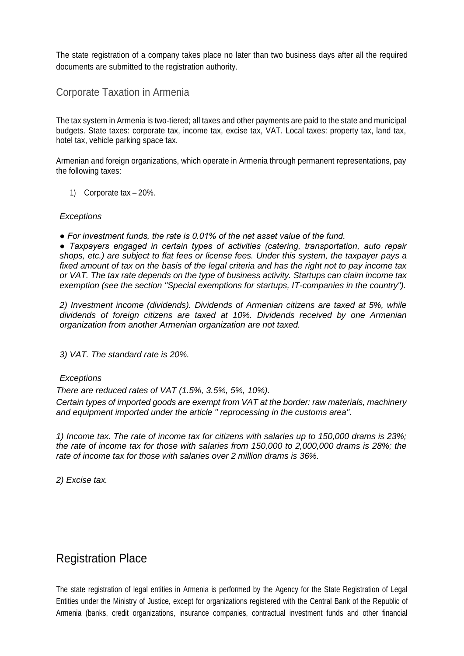The state registration of a company takes place no later than two business days after all the required documents are submitted to the registration authority.

#### Corporate Taxation in Armenia

The tax system in Armenia is two-tiered; all taxes and other payments are paid to the state and municipal budgets. State taxes: corporate tax, income tax, excise tax, VAT. Local taxes: property tax, land tax, hotel tax, vehicle parking space tax.

Armenian and foreign organizations, which operate in Armenia through permanent representations, pay the following taxes:

1) Corporate tax – 20%.

#### *Exceptions*

*● For investment funds, the rate is 0.01% of the net asset value of the fund.*

*● Taxpayers engaged in certain types of activities (catering, transportation, auto repair shops, etc.) are subject to flat fees or license fees. Under this system, the taxpayer pays a fixed amount of tax on the basis of the legal criteria and has the right not to pay income tax or VAT. The tax rate depends on the type of business activity. Startups can claim income tax exemption (see the section "Special exemptions for startups, IT-companies in the country").*

*2) Investment income (dividends). Dividends of Armenian citizens are taxed at 5%, while dividends of foreign citizens are taxed at 10%. Dividends received by one Armenian organization from another Armenian organization are not taxed.*

*3) VAT. The standard rate is 20%.* 

#### *Exceptions*

*There are reduced rates of VAT (1.5%, 3.5%, 5%, 10%).*

*Certain types of imported goods are exempt from VAT at the border: raw materials, machinery and equipment imported under the article " reprocessing in the customs area".*

*1) Income tax. The rate of income tax for citizens with salaries up to 150,000 drams is 23%; the rate of income tax for those with salaries from 150,000 to 2,000,000 drams is 28%; the rate of income tax for those with salaries over 2 million drams is 36%.*

*2) Excise tax.*

## Registration Place

The state registration of legal entities in Armenia is performed by the Agency for the State Registration of Legal Entities under the Ministry of Justice, except for organizations registered with the Central Bank of the Republic of Armenia (banks, credit organizations, insurance companies, contractual investment funds and other financial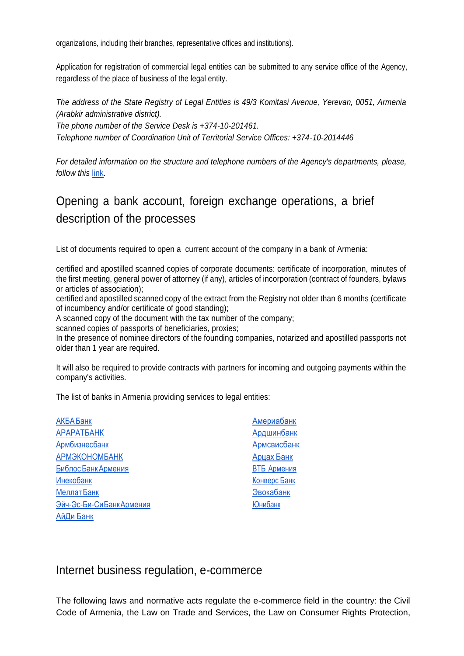organizations, including their branches, representative offices and institutions).

Application for registration of commercial legal entities can be submitted to any service office of the Agency, regardless of the place of business of the legal entity.

*The address of the State Registry of Legal Entities is 49/3 Komitasi Avenue, Yerevan, 0051, Armenia (Arabkir administrative district).*

*The phone number of the Service Desk is +374-10-201461.*

*Telephone number of Coordination Unit of Territorial Service Offices: +374-10-2014446*

*For detailed information on the structure and telephone numbers of the Agency's departments, please, follow this [link.](https://www.spyur.am/ru/companies/state-register-agency-of-legal-entities-of-staff-of-ministry-of-justice-of-the-republic-of-armenia/70292)* 

# Opening a bank account, foreign exchange operations, a brief description of the processes

List of documents required to open a current account of the company in a bank of Armenia:

certified and apostilled scanned copies of corporate documents: certificate of incorporation, minutes of the first meeting, general power of attorney (if any), articles of incorporation (contract of founders, bylaws or articles of association);

certified and apostilled scanned copy of the extract from the Registry not older than 6 months (certificate of incumbency and/or certificate of good standing);

A scanned copy of the document with the tax number of the company;

scanned copies of passports of beneficiaries, proxies;

In the presence of nominee directors of the founding companies, notarized and apostilled passports not older than 1 year are required.

It will also be required to provide contracts with partners for incoming and outgoing payments within the company's activities.

The list of banks in Armenia providing services to legal entities:

| АКБА Банк               | Америабанк         |
|-------------------------|--------------------|
| <b>АРАРАТБАНК</b>       | Ардшинбанк         |
| Армбизнесбанк           | <b>Армсвисбанк</b> |
| <b>АРМЭКОНОМБАНК</b>    | Арцах Банк         |
| Библос Банк Армения     | <b>ВТБ Армения</b> |
| <b>Инекобанк</b>        | Конверс Банк       |
| Меллат Банк             | Эвокабанк          |
| Эйч-Эс-Би-СиБанкАрмения | <b>Юнибанк</b>     |
| АйДи Банк               |                    |

#### Internet business regulation, e-commerce

The following laws and normative acts regulate the e-commerce field in the country: the Civil Code of Armenia, the Law on Trade and Services, the Law on Consumer Rights Protection,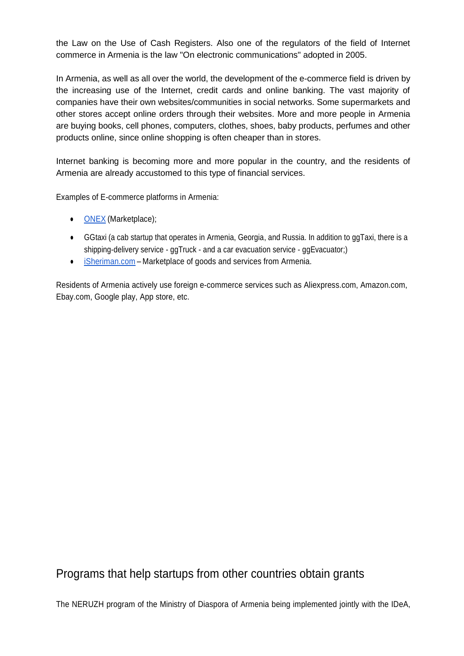the Law on the Use of Cash Registers. Also one of the regulators of the field of Internet commerce in Armenia is the law "On electronic communications" adopted in 2005.

In Armenia, as well as all over the world, the development of the e-commerce field is driven by the increasing use of the Internet, credit cards and online banking. The vast majority of companies have their own websites/communities in social networks. Some supermarkets and other stores accept online orders through their websites. More and more people in Armenia are buying books, cell phones, computers, clothes, shoes, baby products, perfumes and other products online, since online shopping is often cheaper than in stores.

Internet banking is becoming more and more popular in the country, and the residents of Armenia are already accustomed to this type of financial services.

Examples of E-commerce platforms in Armenia:

- [ONEX](https://onex.am/) (Marketplace);
- GGtaxi (a cab startup that operates in Armenia, Georgia, and Russia. In addition to ggTaxi, there is a shipping-delivery service - ggTruck - and a car evacuation service - ggEvacuator;)
- [iSheriman.com](https://isheriman.com/ru/) Marketplace of goods and services from Armenia.

Residents of Armenia actively use foreign e-commerce services such as Aliexpress.com, Amazon.com, Ebay.com, Google play, App store, etc.

## Programs that help startups from other countries obtain grants

The NERUZH program of the Ministry of Diaspora of Armenia being implemented jointly with the IDeA,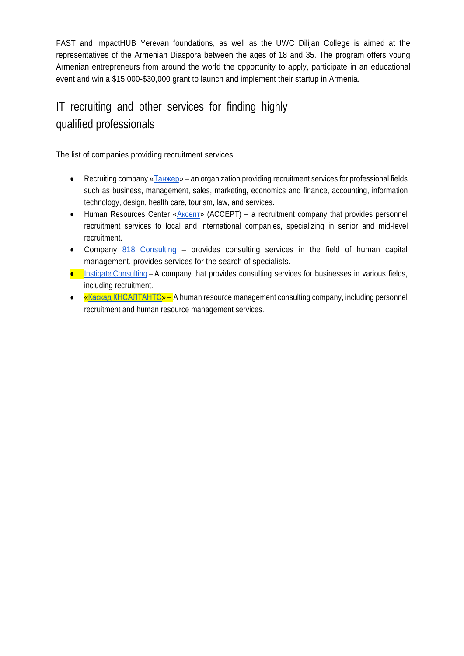FAST and ImpactHUB Yerevan foundations, as well as the UWC Dilijan College is aimed at the representatives of the Armenian Diaspora between the ages of 18 and 35. The program offers young Armenian entrepreneurs from around the world the opportunity to apply, participate in an educational event and win a \$15,000-\$30,000 grant to launch and implement their startup in Armenia.

# IT recruiting and other services for finding highly qualified professionals

The list of companies providing recruitment services:

- Recruiting company [«Танжер»](http://tanger.am/ru) an organization providing recruitment services for professional fields such as business, management, sales, marketing, economics and finance, accounting, information technology, design, health care, tourism, law, and services.
- Human Resources Center «AKCERT» (ACCEPT) a recruitment company that provides personnel recruitment services to local and international companies, specializing in senior and mid-level recruitment.
- Company [818 Consulting](https://818.consulting/ru/) provides consulting services in the field of human capital management, provides services for the search of specialists.
- **•** Instigate [Consulting](http://ggg.instigateconsulting.com/) A company that provides consulting services for businesses in various fields, including recruitment.
- $\bullet$   $\bullet$   $\overline{\text{«Kackag KHCAITAHTC} \cdot}$  A human resource management consulting company, including personnel recruitment and human resource management services.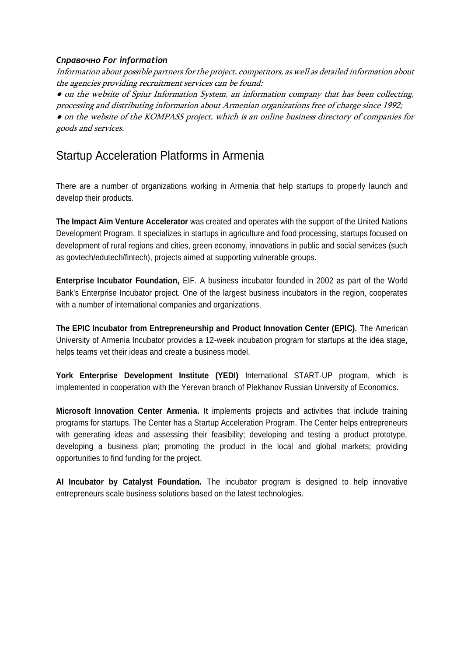#### *Справочно For information*

Information about possible partners for the project, competitors, as well as detailed information about the agencies providing recruitment services can be found:

• on the website of Spiur Information System, an information company that has been collecting, processing and distributing information about Armenian organizations free of charge since 1992;

● on the website of the KOMPASS project, which is an online business directory of companies for goods and services.

### Startup Acceleration Platforms in Armenia

There are a number of organizations working in Armenia that help startups to properly launch and develop their products.

**The Impact Aim Venture Accelerator** was created and operates with the support of the United Nations Development Program. It specializes in startups in agriculture and food processing, startups focused on development of rural regions and cities, green economy, innovations in public and social services (such as govtech/edutech/fintech), projects aimed at supporting vulnerable groups.

**Enterprise Incubator Foundation,** EIF. A business incubator founded in 2002 as part of the World Bank's Enterprise Incubator project. One of the largest business incubators in the region, cooperates with a number of international companies and organizations.

**The EPIC Incubator from Entrepreneurship and Product Innovation Center (EPIC).** The American University of Armenia Incubator provides a 12-week incubation program for startups at the idea stage, helps teams vet their ideas and create a business model.

**York Enterprise Development Institute (YEDI)** International START-UP program, which is implemented in cooperation with the Yerevan branch of Plekhanov Russian University of Economics.

**Microsoft Innovation Center Armenia.** It implements projects and activities that include training programs for startups. The Center has a Startup Acceleration Program. The Center helps entrepreneurs with generating ideas and assessing their feasibility; developing and testing a product prototype, developing a business plan; promoting the product in the local and global markets; providing opportunities to find funding for the project.

**AI Incubator by Catalyst Foundation.** The incubator program is designed to help innovative entrepreneurs scale business solutions based on the latest technologies.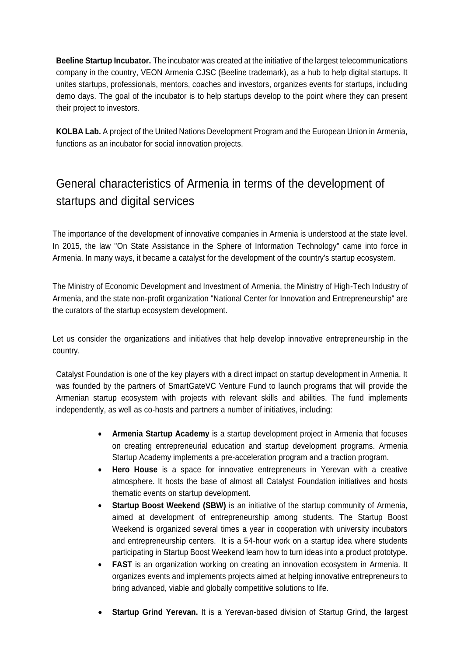**Beeline Startup Incubator.** The incubator was created at the initiative of the largest telecommunications company in the country, VEON Armenia CJSC (Beeline trademark), as a hub to help digital startups. It unites startups, professionals, mentors, coaches and investors, organizes events for startups, including demo days. The goal of the incubator is to help startups develop to the point where they can present their project to investors.

**KOLBA Lab.** A project of the United Nations Development Program and the European Union in Armenia, functions as an incubator for social innovation projects.

# General characteristics of Armenia in terms of the development of startups and digital services

The importance of the development of innovative companies in Armenia is understood at the state level. In 2015, the law "On State Assistance in the Sphere of Information Technology" came into force in Armenia. In many ways, it became a catalyst for the development of the country's startup ecosystem.

The Ministry of Economic Development and Investment of Armenia, the Ministry of High-Tech Industry of Armenia, and the state non-profit organization "National Center for Innovation and Entrepreneurship" are the curators of the startup ecosystem development.

Let us consider the organizations and initiatives that help develop innovative entrepreneurship in the country.

Catalyst Foundation is one of the key players with a direct impact on startup development in Armenia. It was founded by the partners of SmartGateVC Venture Fund to launch programs that will provide the Armenian startup ecosystem with projects with relevant skills and abilities. The fund implements independently, as well as co-hosts and partners a number of initiatives, including:

- **Armenia Startup Academy** is a startup development project in Armenia that focuses on creating entrepreneurial education and startup development programs. Armenia Startup Academy implements a pre-acceleration program and a traction program.
- **Hero House** is a space for innovative entrepreneurs in Yerevan with a creative atmosphere. It hosts the base of almost all Catalyst Foundation initiatives and hosts thematic events on startup development.
- **Startup Boost Weekend (SBW)** is an initiative of the startup community of Armenia, aimed at development of entrepreneurship among students. The Startup Boost Weekend is organized several times a year in cooperation with university incubators and entrepreneurship centers. It is a 54-hour work on a startup idea where students participating in Startup Boost Weekend learn how to turn ideas into a product prototype.
- **FAST** is an organization working on creating an innovation ecosystem in Armenia. It organizes events and implements projects aimed at helping innovative entrepreneurs to bring advanced, viable and globally competitive solutions to life.
- **Startup Grind Yerevan.** It is a Yerevan-based division of Startup Grind, the largest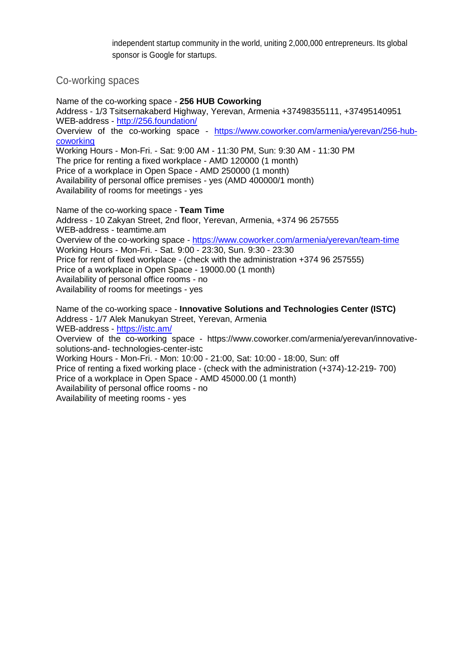independent startup community in the world, uniting 2,000,000 entrepreneurs. Its global sponsor is Google for startups.

Co-working spaces

Name of the co-working space - **256 HUB Coworking** Address - 1/3 Tsitsernakaberd Highway, Yerevan, Armenia +37498355111, +37495140951 WEB-address - <http://256.foundation/> Overview of the co-working space - [https://www.coworker.com/armenia/yerevan/256-hub](https://www.coworker.com/armenia/yerevan/256-hub-coworking)[coworking](https://www.coworker.com/armenia/yerevan/256-hub-coworking) Working Hours - Mon-Fri. - Sat: 9:00 AM - 11:30 PM, Sun: 9:30 AM - 11:30 PM The price for renting a fixed workplace - AMD 120000 (1 month) Price of a workplace in Open Space - AMD 250000 (1 month) Availability of personal office premises - yes (AMD 400000/1 month) Availability of rooms for meetings - yes Name of the co-working space - **Team Time**

Address - 10 Zakyan Street, 2nd floor, Yerevan, Armenia, +374 96 257555 WEB-address - teamtime.am Overview of the co-working space - <https://www.coworker.com/armenia/yerevan/team-time> Working Hours - Mon-Fri. - Sat. 9:00 - 23:30, Sun. 9:30 - 23:30 Price for rent of fixed workplace - (check with the administration +374 96 257555) Price of a workplace in Open Space - 19000.00 (1 month) Availability of personal office rooms - no Availability of rooms for meetings - yes

Name of the co-working space - **Innovative Solutions and Technologies Center (ISTC)** Address - 1/7 Alek Manukyan Street, Yerevan, Armenia WEB-address - <https://istc.am/> Overview of the co-working space - https://www.coworker.com/armenia/yerevan/innovativesolutions-and- technologies-center-istc Working Hours - Mon-Fri. - Mon: 10:00 - 21:00, Sat: 10:00 - 18:00, Sun: off Price of renting a fixed working place - (check with the administration (+374)-12-219- 700) Price of a workplace in Open Space - AMD 45000.00 (1 month) Availability of personal office rooms - no Availability of meeting rooms - yes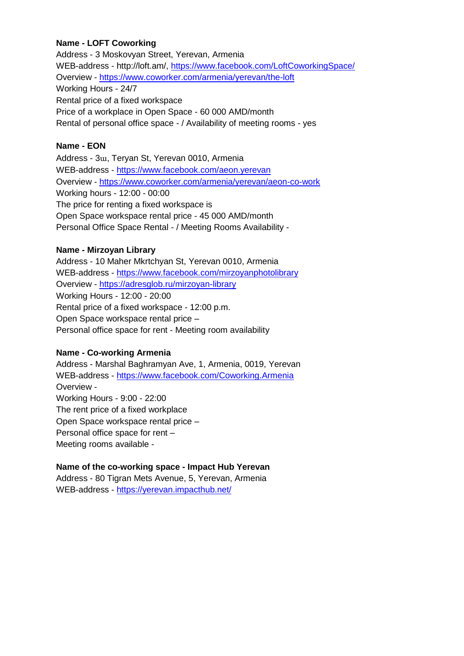#### **Name - LOFT Coworking**

Address - 3 Moskovyan Street, Yerevan, Armenia WEB-address - http://loft.am/,<https://www.facebook.com/LoftCoworkingSpace/> Overview - <https://www.coworker.com/armenia/yerevan/the-loft> Working Hours - 24/7 Rental price of a fixed workspace Price of a workplace in Open Space - 60 000 AMD/month Rental of personal office space - / Availability of meeting rooms - yes

#### **Name - EON**

Address - 3ա, Teryan St, Yerevan 0010, Armenia WEB-address - <https://www.facebook.com/aeon.yerevan> Overview - <https://www.coworker.com/armenia/yerevan/aeon-co-work> Working hours - 12:00 - 00:00 The price for renting a fixed workspace is Open Space workspace rental price - 45 000 AMD/month Personal Office Space Rental - / Meeting Rooms Availability -

#### **Name - Mirzoyan Library**

Address - 10 Maher Mkrtchyan St, Yerevan 0010, Armenia WEB-address - <https://www.facebook.com/mirzoyanphotolibrary> Overview - <https://adresglob.ru/mirzoyan-library> Working Hours - 12:00 - 20:00 Rental price of a fixed workspace - 12:00 p.m. Open Space workspace rental price – Personal office space for rent - Meeting room availability

#### **Name - Co-working Armenia**

Address - Marshal Baghramyan Ave, 1, Armenia, 0019, Yerevan WEB-address - <https://www.facebook.com/Coworking.Armenia> Overview - Working Hours - 9:00 - 22:00 The rent price of a fixed workplace Open Space workspace rental price – Personal office space for rent – Meeting rooms available -

#### **Name of the co-working space - Impact Hub Yerevan**

Address - 80 Tigran Mets Avenue, 5, Yerevan, Armenia WEB-address - <https://yerevan.impacthub.net/>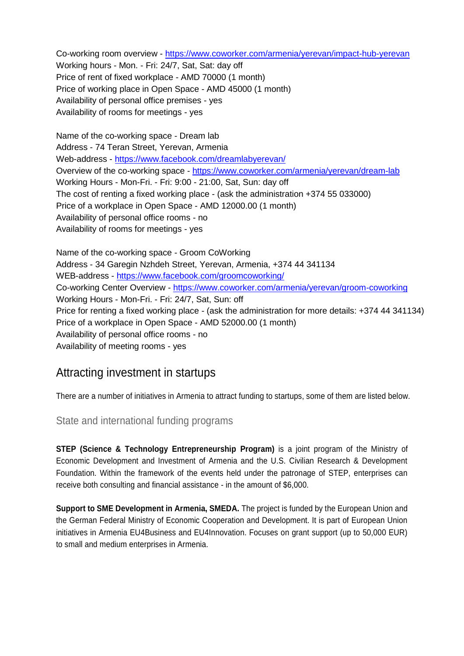Co-working room overview - <https://www.coworker.com/armenia/yerevan/impact-hub-yerevan> Working hours - Mon. - Fri: 24/7, Sat, Sat: day off Price of rent of fixed workplace - AMD 70000 (1 month) Price of working place in Open Space - AMD 45000 (1 month) Availability of personal office premises - yes Availability of rooms for meetings - yes

Name of the co-working space - Dream lab Address - 74 Teran Street, Yerevan, Armenia Web-address - <https://www.facebook.com/dreamlabyerevan/> Overview of the co-working space - <https://www.coworker.com/armenia/yerevan/dream-lab> Working Hours - Mon-Fri. - Fri: 9:00 - 21:00, Sat, Sun: day off The cost of renting a fixed working place - (ask the administration +374 55 033000) Price of a workplace in Open Space - AMD 12000.00 (1 month) Availability of personal office rooms - no Availability of rooms for meetings - yes

Name of the co-working space - Groom CoWorking Address - 34 Garegin Nzhdeh Street, Yerevan, Armenia, +374 44 341134 WEB-address - <https://www.facebook.com/groomcoworking/> Co-working Center Overview - <https://www.coworker.com/armenia/yerevan/groom-coworking> Working Hours - Mon-Fri. - Fri: 24/7, Sat, Sun: off Price for renting a fixed working place - (ask the administration for more details: +374 44 341134) Price of a workplace in Open Space - AMD 52000.00 (1 month) Availability of personal office rooms - no Availability of meeting rooms - yes

## Attracting investment in startups

There are a number of initiatives in Armenia to attract funding to startups, some of them are listed below.

State and international funding programs

**STEP (Science & Technology Entrepreneurship Program)** is a joint program of the Ministry of Economic Development and Investment of Armenia and the U.S. Civilian Research & Development Foundation. Within the framework of the events held under the patronage of STEP, enterprises can receive both consulting and financial assistance - in the amount of \$6,000.

**Support to SME Development in Armenia, SMEDA.** The project is funded by the European Union and the German Federal Ministry of Economic Cooperation and Development. It is part of European Union initiatives in Armenia EU4Business and EU4Innovation. Focuses on grant support (up to 50,000 EUR) to small and medium enterprises in Armenia.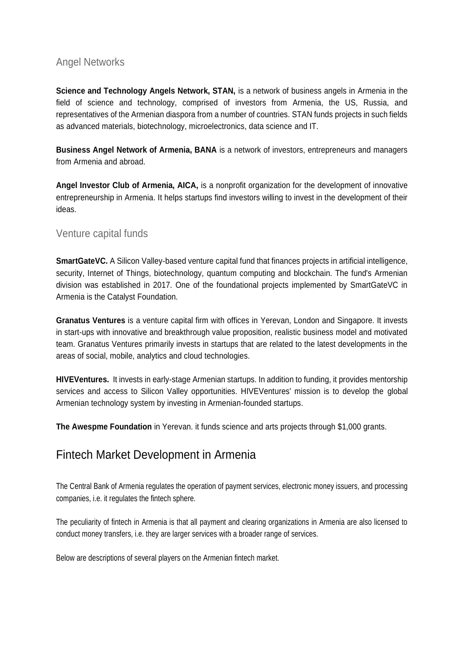### Angel Networks

**Science and Technology Angels Network, STAN,** is a network of business angels in Armenia in the field of science and technology, comprised of investors from Armenia, the US, Russia, and representatives of the Armenian diaspora from a number of countries. STAN funds projects in such fields as advanced materials, biotechnology, microelectronics, data science and IT.

**Business Angel Network of Armenia, BANA** is a network of investors, entrepreneurs and managers from Armenia and abroad.

**Angel Investor Club of Armenia, AICA,** is a nonprofit organization for the development of innovative entrepreneurship in Armenia. It helps startups find investors willing to invest in the development of their ideas.

### Venture capital funds

**SmartGateVC.** A Silicon Valley-based venture capital fund that finances projects in artificial intelligence, security, Internet of Things, biotechnology, quantum computing and blockchain. The fund's Armenian division was established in 2017. One of the foundational projects implemented by SmartGateVC in Armenia is the Catalyst Foundation.

**Granatus Ventures** is a venture capital firm with offices in Yerevan, London and Singapore. It invests in start-ups with innovative and breakthrough value proposition, realistic business model and motivated team. Granatus Ventures primarily invests in startups that are related to the latest developments in the areas of social, mobile, analytics and cloud technologies.

**HIVEVentures.** It invests in early-stage Armenian startups. In addition to funding, it provides mentorship services and access to Silicon Valley opportunities. HIVEVentures' mission is to develop the global Armenian technology system by investing in Armenian-founded startups.

**The Awespme Foundation** in Yerevan. it funds science and arts projects through \$1,000 grants.

## Fintech Market Development in Armenia

The Central Bank of Armenia regulates the operation of payment services, electronic money issuers, and processing companies, i.e. it regulates the fintech sphere.

The peculiarity of fintech in Armenia is that all payment and clearing organizations in Armenia are also licensed to conduct money transfers, i.e. they are larger services with a broader range of services.

Below are descriptions of several players on the Armenian fintech market.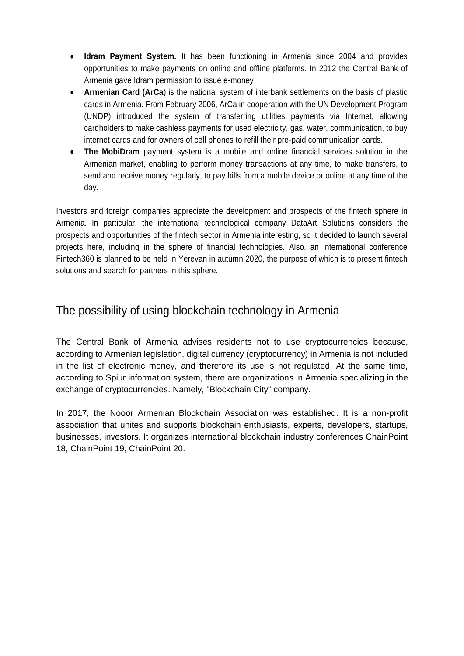- **Idram Payment System.** It has been functioning in Armenia since 2004 and provides opportunities to make payments on online and offline platforms. In 2012 the Central Bank of Armenia gave Idram permission to issue e-money
- **Armenian Card (ArCa)** is the national system of interbank settlements on the basis of plastic cards in Armenia. From February 2006, ArCa in cooperation with the UN Development Program (UNDP) introduced the system of transferring utilities payments via Internet, allowing cardholders to make cashless payments for used electricity, gas, water, communication, to buy internet cards and for owners of cell phones to refill their pre-paid communication cards.
- **The MobiDram** payment system is a mobile and online financial services solution in the Armenian market, enabling to perform money transactions at any time, to make transfers, to send and receive money regularly, to pay bills from a mobile device or online at any time of the day.

Investors and foreign companies appreciate the development and prospects of the fintech sphere in Armenia. In particular, the international technological company DataArt Solutions considers the prospects and opportunities of the fintech sector in Armenia interesting, so it decided to launch several projects here, including in the sphere of financial technologies. Also, an international conference Fintech360 is planned to be held in Yerevan in autumn 2020, the purpose of which is to present fintech solutions and search for partners in this sphere.

## The possibility of using blockchain technology in Armenia

The Central Bank of Armenia advises residents not to use cryptocurrencies because, according to Armenian legislation, digital currency (cryptocurrency) in Armenia is not included in the list of electronic money, and therefore its use is not regulated. At the same time, according to Spiur information system, there are organizations in Armenia specializing in the exchange of cryptocurrencies. Namely, "Blockchain City" company.

In 2017, the Nooor Armenian Blockchain Association was established. It is a non-profit association that unites and supports blockchain enthusiasts, experts, developers, startups, businesses, investors. It organizes international blockchain industry conferences ChainPoint 18, ChainPoint 19, ChainPoint 20.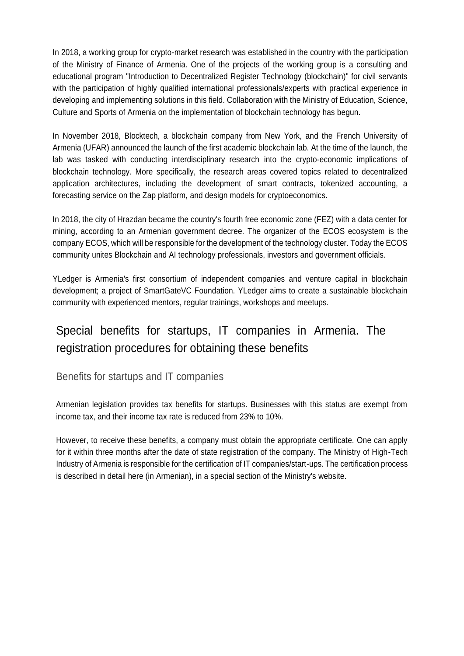In 2018, a working group for crypto-market research was established in the country with the participation of the Ministry of Finance of Armenia. One of the projects of the working group is a consulting and educational program "Introduction to Decentralized Register Technology (blockchain)" for civil servants with the participation of highly qualified international professionals/experts with practical experience in developing and implementing solutions in this field. Collaboration with the Ministry of Education, Science, Culture and Sports of Armenia on the implementation of blockchain technology has begun.

In November 2018, Blocktech, a blockchain company from New York, and the French University of Armenia (UFAR) announced the launch of the first academic blockchain lab. At the time of the launch, the lab was tasked with conducting interdisciplinary research into the crypto-economic implications of blockchain technology. More specifically, the research areas covered topics related to decentralized application architectures, including the development of smart contracts, tokenized accounting, a forecasting service on the Zap platform, and design models for cryptoeconomics.

In 2018, the city of Hrazdan became the country's fourth free economic zone (FEZ) with a data center for mining, according to an Armenian government decree. The organizer of the ECOS ecosystem is the company ECOS, which will be responsible for the development of the technology cluster. Today the ECOS community unites Blockchain and AI technology professionals, investors and government officials.

YLedger is Armenia's first consortium of independent companies and venture capital in blockchain development; a project of SmartGateVC Foundation. YLedger aims to create a sustainable blockchain community with experienced mentors, regular trainings, workshops and meetups.

# Special benefits for startups, IT companies in Armenia. The registration procedures for obtaining these benefits

#### Benefits for startups and IT companies

Armenian legislation provides tax benefits for startups. Businesses with this status are exempt from income tax, and their income tax rate is reduced from 23% to 10%.

However, to receive these benefits, a company must obtain the appropriate certificate. One can apply for it within three months after the date of state registration of the company. The Ministry of High-Tech Industry of Armenia is responsible for the certification of IT companies/start-ups. The certification process is described in detail here (in Armenian), in a special section of the Ministry's website.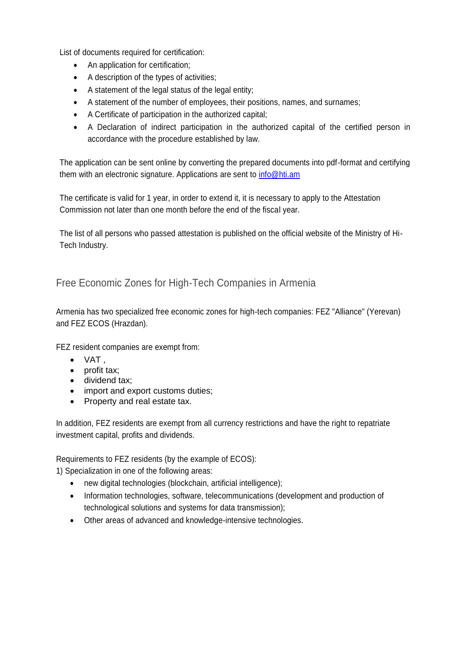List of documents required for certification:

- An application for certification;
- A description of the types of activities;
- A statement of the legal status of the legal entity;
- A statement of the number of employees, their positions, names, and surnames;
- A Certificate of participation in the authorized capital;
- A Declaration of indirect participation in the authorized capital of the certified person in accordance with the procedure established by law.

The application can be sent online by converting the prepared documents into pdf-format and certifying them with an electronic signature. Applications are sent to [info@hti.am](mailto:info@hti.am)

The certificate is valid for 1 year, in order to extend it, it is necessary to apply to the Attestation Commission not later than one month before the end of the fiscal year.

The list of all persons who passed attestation is published on the official website of the Ministry of Hi-Tech Industry.

### Free Economic Zones for High-Tech Companies in Armenia

Armenia has two specialized free economic zones for high-tech companies: FEZ "Alliance" (Yerevan) and FEZ ECOS (Hrazdan).

FEZ resident companies are exempt from:

- $\bullet$  VAT,
- profit tax;
- dividend tax;
- import and export customs duties;
- Property and real estate tax.

In addition, FEZ residents are exempt from all currency restrictions and have the right to repatriate investment capital, profits and dividends.

Requirements to FEZ residents (by the example of ECOS):

1) Specialization in one of the following areas:

- new digital technologies (blockchain, artificial intelligence);
- Information technologies, software, telecommunications (development and production of technological solutions and systems for data transmission);
- Other areas of advanced and knowledge-intensive technologies.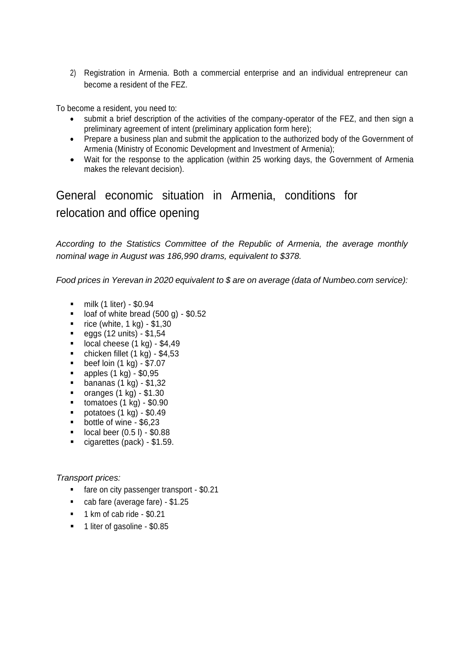2) Registration in Armenia. Both a commercial enterprise and an individual entrepreneur can become a resident of the FEZ.

To become a resident, you need to:

- submit a brief description of the activities of the company-operator of the FEZ, and then sign a preliminary agreement of intent (preliminary application form here);
- Prepare a business plan and submit the application to the authorized body of the Government of Armenia (Ministry of Economic Development and Investment of Armenia);
- Wait for the response to the application (within 25 working days, the Government of Armenia makes the relevant decision).

General economic situation in Armenia, conditions for relocation and office opening

*According to the Statistics Committee of the Republic of Armenia, the average monthly nominal wage in August was 186,990 drams, equivalent to \$378.*

*Food prices in Yerevan in 2020 equivalent to \$ are on average (data of Numbeo.com service):*

- $\blacksquare$  milk (1 liter) \$0.94
- $\blacksquare$  loaf of white bread (500 g) \$0.52
- $\blacksquare$  rice (white, 1 kg) \$1,30
- $eggs (12 units) $1,54$
- $\blacksquare$  local cheese (1 kg) \$4,49
- chicken fillet  $(1 \text{ kg}) $4,53$
- beef loin  $(1 \text{ kg}) $7.07$ <br>■ annles  $(1 \text{ kg}) $0.95$
- apples (1 kg) \$0,95
- **bananas (1 kg) \$1,32**
- $\blacksquare$  oranges (1 kg) \$1.30
- $\blacksquare$  tomatoes (1 kg) \$0.90
- $\blacksquare$  potatoes (1 kg) \$0.49
- **bottle of wine \$6,23**
- $\blacksquare$  local beer (0.5 l) \$0.88
- cigarettes (pack) \$1.59.

*Transport prices:*

- **fare on city passenger transport \$0.21**
- cab fare (average fare) \$1.25
- **1** km of cab ride \$0.21
- **1** liter of gasoline \$0.85